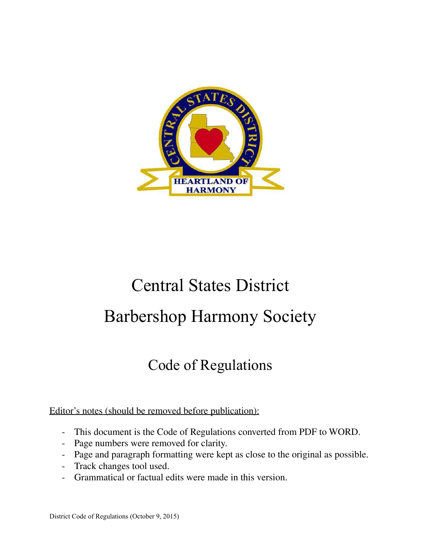

# Central States District Barbershop Harmony Society

# Code of Regulations

### Editor's notes (should be removed before publication):

- This document is the Code of Regulations converted from PDF to WORD.
- Page numbers were removed for clarity.
- Page and paragraph formatting were kept as close to the original as possible.
- Track changes tool used.
- Grammatical or factual edits were made in this version.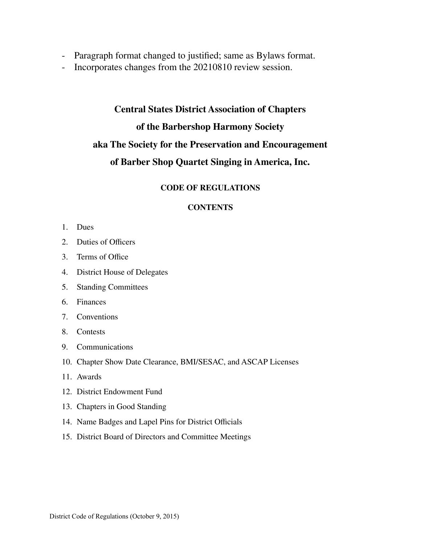- Paragraph format changed to justified; same as Bylaws format.
- Incorporates changes from the 20210810 review session.

## **Central States District Association of Chapters of the Barbershop Harmony Society aka The Society for the Preservation and Encouragement of Barber Shop Quartet Singing in America, Inc.**

#### **CODE OF REGULATIONS**

#### **CONTENTS**

- 1. Dues
- 2. Duties of Officers
- 3. Terms of Office
- 4. District House of Delegates
- 5. Standing Committees
- 6. Finances
- 7. Conventions
- 8. Contests
- 9. Communications
- 10. Chapter Show Date Clearance, BMI/SESAC, and ASCAP Licenses
- 11. Awards
- 12. District Endowment Fund
- 13. Chapters in Good Standing
- 14. Name Badges and Lapel Pins for District Officials
- 15. District Board of Directors and Committee Meetings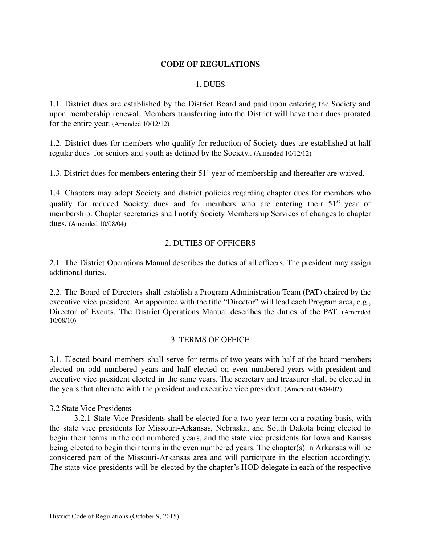#### **CODE OF REGULATIONS**

#### 1. DUES

1.1. District dues are established by the District Board and paid upon entering the Society and upon membership renewal. Members transferring into the District will have their dues prorated for the entire year. (Amended 10/12/12)

1.2. District dues for members who qualify for reduction of Society dues are established at half regular dues for seniors and youth as defined by the Society.. (Amended 10/12/12)

1.3. District dues for members entering their  $51<sup>st</sup>$  year of membership and thereafter are waived.

1.4. Chapters may adopt Society and district policies regarding chapter dues for members who qualify for reduced Society dues and for members who are entering their 51<sup>st</sup> year of membership. Chapter secretaries shall notify Society Membership Services of changes to chapter dues. (Amended 10/08/04)

#### 2. DUTIES OF OFFICERS

2.1. The District Operations Manual describes the duties of all officers. The president may assign additional duties.

2.2. The Board of Directors shall establish a Program Administration Team (PAT) chaired by the executive vice president. An appointee with the title "Director" will lead each Program area, e.g., Director of Events. The District Operations Manual describes the duties of the PAT. (Amended 10/08/10)

#### 3. TERMS OF OFFICE

3.1. Elected board members shall serve for terms of two years with half of the board members elected on odd numbered years and half elected on even numbered years with president and executive vice president elected in the same years. The secretary and treasurer shall be elected in the years that alternate with the president and executive vice president. (Amended 04/04/02)

#### 3.2 State Vice Presidents

3.2.1 State Vice Presidents shall be elected for a two-year term on a rotating basis, with the state vice presidents for Missouri-Arkansas, Nebraska, and South Dakota being elected to begin their terms in the odd numbered years, and the state vice presidents for Iowa and Kansas being elected to begin their terms in the even numbered years. The chapter(s) in Arkansas will be considered part of the Missouri-Arkansas area and will participate in the election accordingly. The state vice presidents will be elected by the chapter's HOD delegate in each of the respective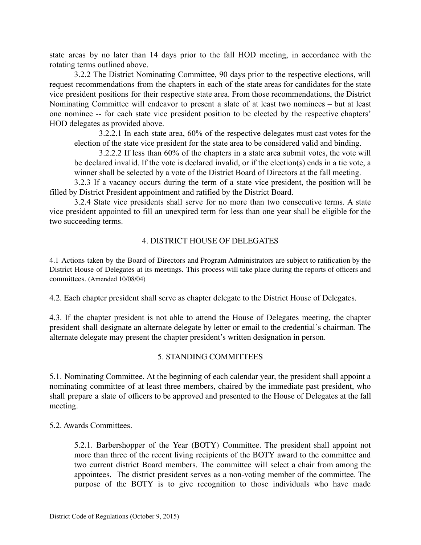state areas by no later than 14 days prior to the fall HOD meeting, in accordance with the rotating terms outlined above.

3.2.2 The District Nominating Committee, 90 days prior to the respective elections, will request recommendations from the chapters in each of the state areas for candidates for the state vice president positions for their respective state area. From those recommendations, the District Nominating Committee will endeavor to present a slate of at least two nominees – but at least one nominee -- for each state vice president position to be elected by the respective chapters' HOD delegates as provided above.

3.2.2.1 In each state area, 60% of the respective delegates must cast votes for the election of the state vice president for the state area to be considered valid and binding.

3.2.2.2 If less than 60% of the chapters in a state area submit votes, the vote will be declared invalid. If the vote is declared invalid, or if the election(s) ends in a tie vote, a winner shall be selected by a vote of the District Board of Directors at the fall meeting.

3.2.3 If a vacancy occurs during the term of a state vice president, the position will be filled by District President appointment and ratified by the District Board.

3.2.4 State vice presidents shall serve for no more than two consecutive terms. A state vice president appointed to fill an unexpired term for less than one year shall be eligible for the two succeeding terms.

#### 4. DISTRICT HOUSE OF DELEGATES

4.1 Actions taken by the Board of Directors and Program Administrators are subject to ratification by the District House of Delegates at its meetings. This process will take place during the reports of officers and committees. (Amended 10/08/04)

4.2. Each chapter president shall serve as chapter delegate to the District House of Delegates.

4.3. If the chapter president is not able to attend the House of Delegates meeting, the chapter president shall designate an alternate delegate by letter or email to the credential's chairman. The alternate delegate may present the chapter president's written designation in person.

#### 5. STANDING COMMITTEES

5.1. Nominating Committee. At the beginning of each calendar year, the president shall appoint a nominating committee of at least three members, chaired by the immediate past president, who shall prepare a slate of officers to be approved and presented to the House of Delegates at the fall meeting.

5.2. Awards Committees.

5.2.1. Barbershopper of the Year (BOTY) Committee. The president shall appoint not more than three of the recent living recipients of the BOTY award to the committee and two current district Board members. The committee will select a chair from among the appointees. The district president serves as a non-voting member of the committee. The purpose of the BOTY is to give recognition to those individuals who have made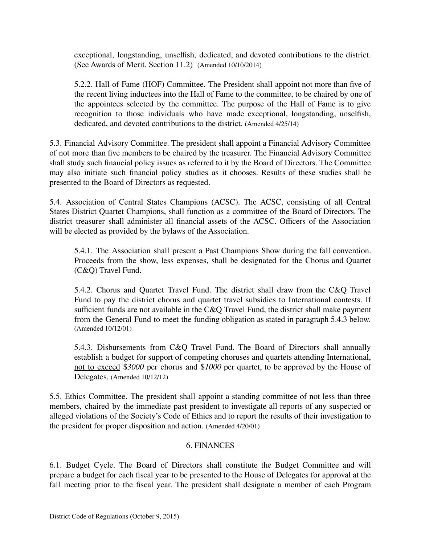exceptional, longstanding, unselfish, dedicated, and devoted contributions to the district. (See Awards of Merit, Section 11.2) (Amended 10/10/2014)

5.2.2. Hall of Fame (HOF) Committee. The President shall appoint not more than five of the recent living inductees into the Hall of Fame to the committee, to be chaired by one of the appointees selected by the committee. The purpose of the Hall of Fame is to give recognition to those individuals who have made exceptional, longstanding, unselfish, dedicated, and devoted contributions to the district. (Amended 4/25/14)

5.3. Financial Advisory Committee. The president shall appoint a Financial Advisory Committee of not more than five members to be chaired by the treasurer. The Financial Advisory Committee shall study such financial policy issues as referred to it by the Board of Directors. The Committee may also initiate such financial policy studies as it chooses. Results of these studies shall be presented to the Board of Directors as requested.

5.4. Association of Central States Champions (ACSC). The ACSC, consisting of all Central States District Quartet Champions, shall function as a committee of the Board of Directors. The district treasurer shall administer all financial assets of the ACSC. Officers of the Association will be elected as provided by the bylaws of the Association.

5.4.1. The Association shall present a Past Champions Show during the fall convention. Proceeds from the show, less expenses, shall be designated for the Chorus and Quartet (C&Q) Travel Fund.

5.4.2. Chorus and Quartet Travel Fund. The district shall draw from the C&Q Travel Fund to pay the district chorus and quartet travel subsidies to International contests. If sufficient funds are not available in the C&Q Travel Fund, the district shall make payment from the General Fund to meet the funding obligation as stated in paragraph 5.4.3 below. (Amended 10/12/01)

5.4.3. Disbursements from C&Q Travel Fund. The Board of Directors shall annually establish a budget for support of competing choruses and quartets attending International, not to exceed \$*3000* per chorus and \$*1000* per quartet, to be approved by the House of Delegates. (Amended 10/12/12)

5.5. Ethics Committee. The president shall appoint a standing committee of not less than three members, chaired by the immediate past president to investigate all reports of any suspected or alleged violations of the Society's Code of Ethics and to report the results of their investigation to the president for proper disposition and action. (Amended 4/20/01)

#### 6. FINANCES

6.1. Budget Cycle. The Board of Directors shall constitute the Budget Committee and will prepare a budget for each fiscal year to be presented to the House of Delegates for approval at the fall meeting prior to the fiscal year. The president shall designate a member of each Program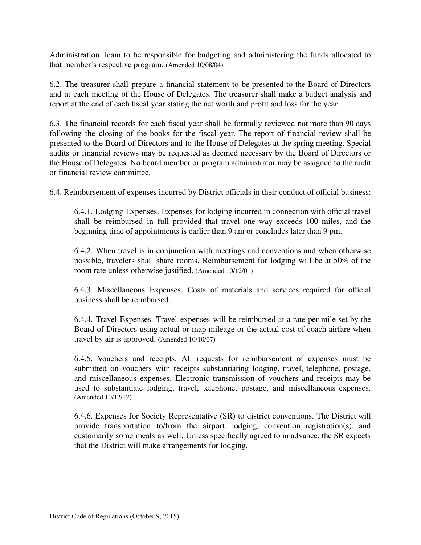Administration Team to be responsible for budgeting and administering the funds allocated to that member's respective program. (Amended 10/08/04)

6.2. The treasurer shall prepare a financial statement to be presented to the Board of Directors and at each meeting of the House of Delegates. The treasurer shall make a budget analysis and report at the end of each fiscal year stating the net worth and profit and loss for the year.

6.3. The financial records for each fiscal year shall be formally reviewed not more than 90 days following the closing of the books for the fiscal year. The report of financial review shall be presented to the Board of Directors and to the House of Delegates at the spring meeting. Special audits or financial reviews may be requested as deemed necessary by the Board of Directors or the House of Delegates. No board member or program administrator may be assigned to the audit or financial review committee.

6.4. Reimbursement of expenses incurred by District officials in their conduct of official business:

6.4.1. Lodging Expenses. Expenses for lodging incurred in connection with official travel shall be reimbursed in full provided that travel one way exceeds 100 miles, and the beginning time of appointments is earlier than 9 am or concludes later than 9 pm.

6.4.2. When travel is in conjunction with meetings and conventions and when otherwise possible, travelers shall share rooms. Reimbursement for lodging will be at 50% of the room rate unless otherwise justified. (Amended 10/12/01)

6.4.3. Miscellaneous Expenses. Costs of materials and services required for official business shall be reimbursed.

6.4.4. Travel Expenses. Travel expenses will be reimbursed at a rate per mile set by the Board of Directors using actual or map mileage or the actual cost of coach airfare when travel by air is approved. (Amended 10/10/07)

6.4.5. Vouchers and receipts. All requests for reimbursement of expenses must be submitted on vouchers with receipts substantiating lodging, travel, telephone, postage, and miscellaneous expenses. Electronic transmission of vouchers and receipts may be used to substantiate lodging, travel, telephone, postage, and miscellaneous expenses. (Amended 10/12/12)

6.4.6. Expenses for Society Representative (SR) to district conventions. The District will provide transportation to/from the airport, lodging, convention registration(s), and customarily some meals as well. Unless specifically agreed to in advance, the SR expects that the District will make arrangements for lodging.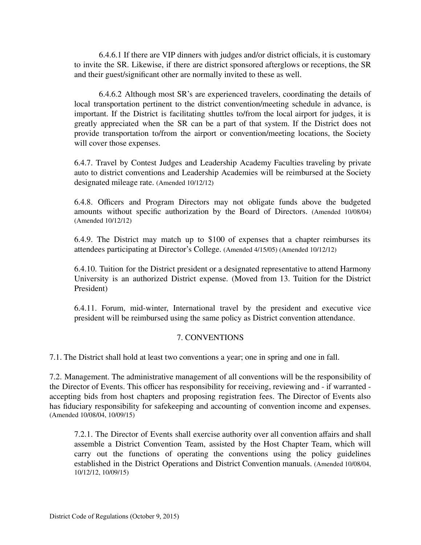6.4.6.1 If there are VIP dinners with judges and/or district officials, it is customary to invite the SR. Likewise, if there are district sponsored afterglows or receptions, the SR and their guest/significant other are normally invited to these as well.

6.4.6.2 Although most SR's are experienced travelers, coordinating the details of local transportation pertinent to the district convention/meeting schedule in advance, is important. If the District is facilitating shuttles to/from the local airport for judges, it is greatly appreciated when the SR can be a part of that system. If the District does not provide transportation to/from the airport or convention/meeting locations, the Society will cover those expenses.

6.4.7. Travel by Contest Judges and Leadership Academy Faculties traveling by private auto to district conventions and Leadership Academies will be reimbursed at the Society designated mileage rate. (Amended 10/12/12)

6.4.8. Officers and Program Directors may not obligate funds above the budgeted amounts without specific authorization by the Board of Directors. (Amended 10/08/04) (Amended 10/12/12)

6.4.9. The District may match up to \$100 of expenses that a chapter reimburses its attendees participating at Director's College. (Amended 4/15/05) (Amended 10/12/12)

6.4.10. Tuition for the District president or a designated representative to attend Harmony University is an authorized District expense. (Moved from 13. Tuition for the District President)

6.4.11. Forum, mid-winter, International travel by the president and executive vice president will be reimbursed using the same policy as District convention attendance.

#### 7. CONVENTIONS

7.1. The District shall hold at least two conventions a year; one in spring and one in fall.

7.2. Management. The administrative management of all conventions will be the responsibility of the Director of Events. This officer has responsibility for receiving, reviewing and - if warranted accepting bids from host chapters and proposing registration fees. The Director of Events also has fiduciary responsibility for safekeeping and accounting of convention income and expenses. (Amended 10/08/04, 10/09/15)

7.2.1. The Director of Events shall exercise authority over all convention affairs and shall assemble a District Convention Team, assisted by the Host Chapter Team, which will carry out the functions of operating the conventions using the policy guidelines established in the District Operations and District Convention manuals. (Amended 10/08/04, 10/12/12, 10/09/15)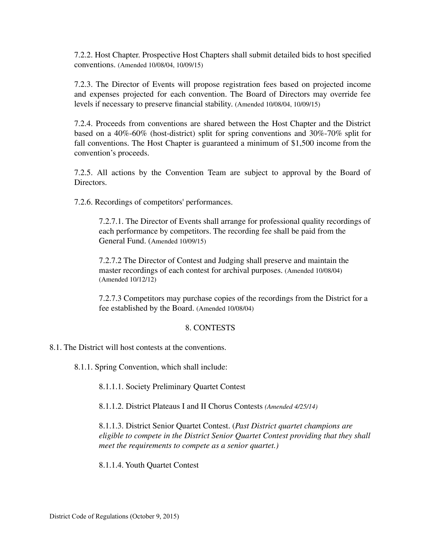7.2.2. Host Chapter. Prospective Host Chapters shall submit detailed bids to host specified conventions. (Amended 10/08/04, 10/09/15)

7.2.3. The Director of Events will propose registration fees based on projected income and expenses projected for each convention. The Board of Directors may override fee levels if necessary to preserve financial stability. (Amended 10/08/04, 10/09/15)

7.2.4. Proceeds from conventions are shared between the Host Chapter and the District based on a 40%-60% (host-district) split for spring conventions and 30%-70% split for fall conventions. The Host Chapter is guaranteed a minimum of \$1,500 income from the convention's proceeds.

7.2.5. All actions by the Convention Team are subject to approval by the Board of **Directors** 

7.2.6. Recordings of competitors' performances.

7.2.7.1. The Director of Events shall arrange for professional quality recordings of each performance by competitors. The recording fee shall be paid from the General Fund. (Amended 10/09/15)

7.2.7.2 The Director of Contest and Judging shall preserve and maintain the master recordings of each contest for archival purposes. (Amended 10/08/04) (Amended 10/12/12)

7.2.7.3 Competitors may purchase copies of the recordings from the District for a fee established by the Board. (Amended 10/08/04)

#### 8. CONTESTS

8.1. The District will host contests at the conventions.

8.1.1. Spring Convention, which shall include:

8.1.1.1. Society Preliminary Quartet Contest

8.1.1.2. District Plateaus I and II Chorus Contests *(Amended 4/25/14)*

8.1.1.3. District Senior Quartet Contest. (*Past District quartet champions are eligible to compete in the District Senior Quartet Contest providing that they shall meet the requirements to compete as a senior quartet.)*

8.1.1.4. Youth Quartet Contest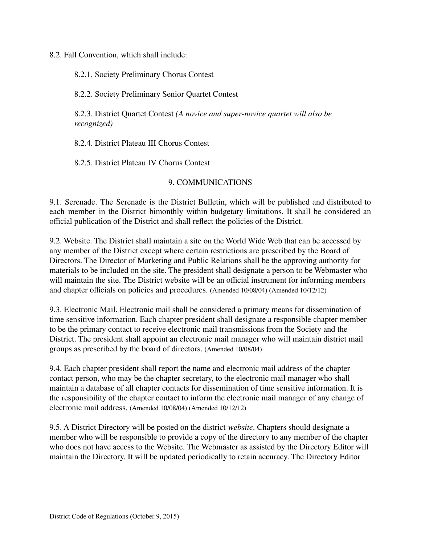8.2. Fall Convention, which shall include:

8.2.1. Society Preliminary Chorus Contest

8.2.2. Society Preliminary Senior Quartet Contest

8.2.3. District Quartet Contest *(A novice and super-novice quartet will also be recognized)*

8.2.4. District Plateau III Chorus Contest

8.2.5. District Plateau IV Chorus Contest

#### 9. COMMUNICATIONS

9.1. Serenade. The Serenade is the District Bulletin, which will be published and distributed to each member in the District bimonthly within budgetary limitations. It shall be considered an official publication of the District and shall reflect the policies of the District.

9.2. Website. The District shall maintain a site on the World Wide Web that can be accessed by any member of the District except where certain restrictions are prescribed by the Board of Directors. The Director of Marketing and Public Relations shall be the approving authority for materials to be included on the site. The president shall designate a person to be Webmaster who will maintain the site. The District website will be an official instrument for informing members and chapter officials on policies and procedures. (Amended 10/08/04) (Amended 10/12/12)

9.3. Electronic Mail. Electronic mail shall be considered a primary means for dissemination of time sensitive information. Each chapter president shall designate a responsible chapter member to be the primary contact to receive electronic mail transmissions from the Society and the District. The president shall appoint an electronic mail manager who will maintain district mail groups as prescribed by the board of directors. (Amended 10/08/04)

9.4. Each chapter president shall report the name and electronic mail address of the chapter contact person, who may be the chapter secretary, to the electronic mail manager who shall maintain a database of all chapter contacts for dissemination of time sensitive information. It is the responsibility of the chapter contact to inform the electronic mail manager of any change of electronic mail address. (Amended 10/08/04) (Amended 10/12/12)

9.5. A District Directory will be posted on the district *website*. Chapters should designate a member who will be responsible to provide a copy of the directory to any member of the chapter who does not have access to the Website. The Webmaster as assisted by the Directory Editor will maintain the Directory. It will be updated periodically to retain accuracy. The Directory Editor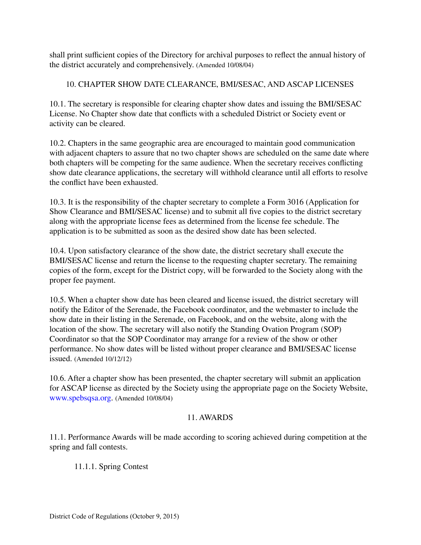shall print sufficient copies of the Directory for archival purposes to reflect the annual history of the district accurately and comprehensively. (Amended 10/08/04)

#### 10. CHAPTER SHOW DATE CLEARANCE, BMI/SESAC, AND ASCAP LICENSES

10.1. The secretary is responsible for clearing chapter show dates and issuing the BMI/SESAC License. No Chapter show date that conflicts with a scheduled District or Society event or activity can be cleared.

10.2. Chapters in the same geographic area are encouraged to maintain good communication with adjacent chapters to assure that no two chapter shows are scheduled on the same date where both chapters will be competing for the same audience. When the secretary receives conflicting show date clearance applications, the secretary will withhold clearance until all efforts to resolve the conflict have been exhausted.

10.3. It is the responsibility of the chapter secretary to complete a Form 3016 (Application for Show Clearance and BMI/SESAC license) and to submit all five copies to the district secretary along with the appropriate license fees as determined from the license fee schedule. The application is to be submitted as soon as the desired show date has been selected.

10.4. Upon satisfactory clearance of the show date, the district secretary shall execute the BMI/SESAC license and return the license to the requesting chapter secretary. The remaining copies of the form, except for the District copy, will be forwarded to the Society along with the proper fee payment.

10.5. When a chapter show date has been cleared and license issued, the district secretary will notify the Editor of the Serenade, the Facebook coordinator, and the webmaster to include the show date in their listing in the Serenade, on Facebook, and on the website, along with the location of the show. The secretary will also notify the Standing Ovation Program (SOP) Coordinator so that the SOP Coordinator may arrange for a review of the show or other performance. No show dates will be listed without proper clearance and BMI/SESAC license issued. (Amended 10/12/12)

10.6. After a chapter show has been presented, the chapter secretary will submit an application for ASCAP license as directed by the Society using the appropriate page on the Society Website, www.spebsqsa.org. (Amended 10/08/04)

#### 11. AWARDS

11.1. Performance Awards will be made according to scoring achieved during competition at the spring and fall contests.

11.1.1. Spring Contest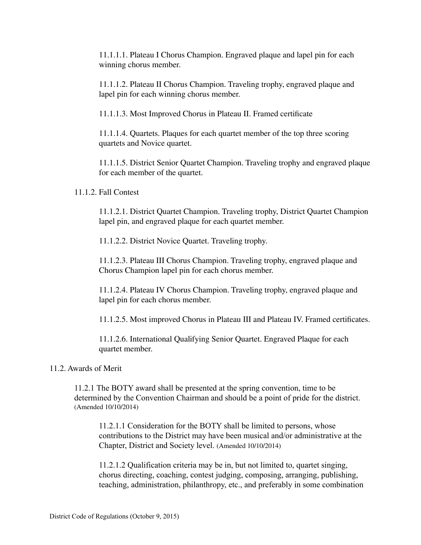11.1.1.1. Plateau I Chorus Champion. Engraved plaque and lapel pin for each winning chorus member.

11.1.1.2. Plateau II Chorus Champion. Traveling trophy, engraved plaque and lapel pin for each winning chorus member.

11.1.1.3. Most Improved Chorus in Plateau II. Framed certificate

11.1.1.4. Quartets. Plaques for each quartet member of the top three scoring quartets and Novice quartet.

11.1.1.5. District Senior Quartet Champion. Traveling trophy and engraved plaque for each member of the quartet.

11.1.2. Fall Contest

11.1.2.1. District Quartet Champion. Traveling trophy, District Quartet Champion lapel pin, and engraved plaque for each quartet member.

11.1.2.2. District Novice Quartet. Traveling trophy.

11.1.2.3. Plateau III Chorus Champion. Traveling trophy, engraved plaque and Chorus Champion lapel pin for each chorus member.

11.1.2.4. Plateau IV Chorus Champion. Traveling trophy, engraved plaque and lapel pin for each chorus member.

11.1.2.5. Most improved Chorus in Plateau III and Plateau IV. Framed certificates.

11.1.2.6. International Qualifying Senior Quartet. Engraved Plaque for each quartet member.

#### 11.2. Awards of Merit

11.2.1 The BOTY award shall be presented at the spring convention, time to be determined by the Convention Chairman and should be a point of pride for the district. (Amended 10/10/2014)

11.2.1.1 Consideration for the BOTY shall be limited to persons, whose contributions to the District may have been musical and/or administrative at the Chapter, District and Society level. (Amended 10/10/2014)

11.2.1.2 Qualification criteria may be in, but not limited to, quartet singing, chorus directing, coaching, contest judging, composing, arranging, publishing, teaching, administration, philanthropy, etc., and preferably in some combination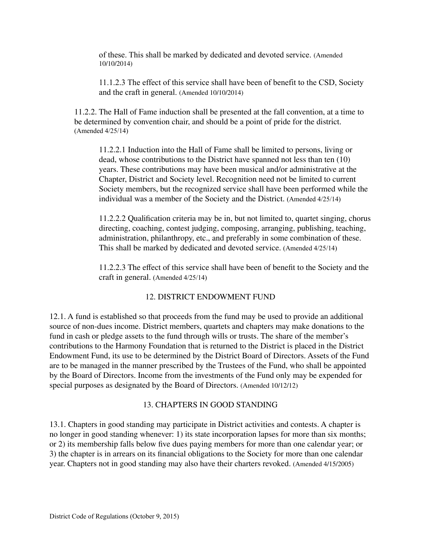of these. This shall be marked by dedicated and devoted service. (Amended 10/10/2014)

11.1.2.3 The effect of this service shall have been of benefit to the CSD, Society and the craft in general. (Amended 10/10/2014)

11.2.2. The Hall of Fame induction shall be presented at the fall convention, at a time to be determined by convention chair, and should be a point of pride for the district. (Amended 4/25/14)

11.2.2.1 Induction into the Hall of Fame shall be limited to persons, living or dead, whose contributions to the District have spanned not less than ten (10) years. These contributions may have been musical and/or administrative at the Chapter, District and Society level. Recognition need not be limited to current Society members, but the recognized service shall have been performed while the individual was a member of the Society and the District. (Amended 4/25/14)

11.2.2.2 Qualification criteria may be in, but not limited to, quartet singing, chorus directing, coaching, contest judging, composing, arranging, publishing, teaching, administration, philanthropy, etc., and preferably in some combination of these. This shall be marked by dedicated and devoted service. (Amended 4/25/14)

11.2.2.3 The effect of this service shall have been of benefit to the Society and the craft in general. (Amended 4/25/14)

#### 12. DISTRICT ENDOWMENT FUND

12.1. A fund is established so that proceeds from the fund may be used to provide an additional source of non-dues income. District members, quartets and chapters may make donations to the fund in cash or pledge assets to the fund through wills or trusts. The share of the member's contributions to the Harmony Foundation that is returned to the District is placed in the District Endowment Fund, its use to be determined by the District Board of Directors. Assets of the Fund are to be managed in the manner prescribed by the Trustees of the Fund, who shall be appointed by the Board of Directors. Income from the investments of the Fund only may be expended for special purposes as designated by the Board of Directors. (Amended 10/12/12)

#### 13. CHAPTERS IN GOOD STANDING

13.1. Chapters in good standing may participate in District activities and contests. A chapter is no longer in good standing whenever: 1) its state incorporation lapses for more than six months; or 2) its membership falls below five dues paying members for more than one calendar year; or 3) the chapter is in arrears on its financial obligations to the Society for more than one calendar year. Chapters not in good standing may also have their charters revoked. (Amended 4/15/2005)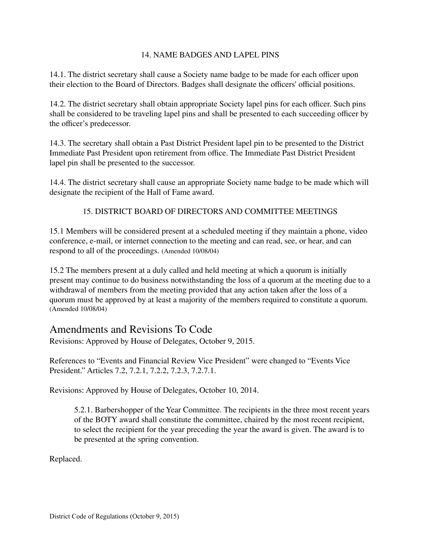#### 14. NAME BADGES AND LAPEL PINS

14.1. The district secretary shall cause a Society name badge to be made for each officer upon their election to the Board of Directors. Badges shall designate the officers' official positions.

14.2. The district secretary shall obtain appropriate Society lapel pins for each officer. Such pins shall be considered to be traveling lapel pins and shall be presented to each succeeding officer by the officer's predecessor.

14.3. The secretary shall obtain a Past District President lapel pin to be presented to the District Immediate Past President upon retirement from office. The Immediate Past District President lapel pin shall be presented to the successor.

14.4. The district secretary shall cause an appropriate Society name badge to be made which will designate the recipient of the Hall of Fame award.

#### 15. DISTRICT BOARD OF DIRECTORS AND COMMITTEE MEETINGS

15.1 Members will be considered present at a scheduled meeting if they maintain a phone, video conference, e-mail, or internet connection to the meeting and can read, see, or hear, and can respond to all of the proceedings. (Amended 10/08/04)

15.2 The members present at a duly called and held meeting at which a quorum is initially present may continue to do business notwithstanding the loss of a quorum at the meeting due to a withdrawal of members from the meeting provided that any action taken after the loss of a quorum must be approved by at least a majority of the members required to constitute a quorum. (Amended 10/08/04)

### Amendments and Revisions To Code

Revisions: Approved by House of Delegates, October 9, 2015.

References to "Events and Financial Review Vice President" were changed to "Events Vice President." Articles 7.2, 7.2.1, 7.2.2, 7.2.3, 7.2.7.1.

Revisions: Approved by House of Delegates, October 10, 2014.

5.2.1. Barbershopper of the Year Committee. The recipients in the three most recent years of the BOTY award shall constitute the committee, chaired by the most recent recipient, to select the recipient for the year preceding the year the award is given. The award is to be presented at the spring convention.

Replaced.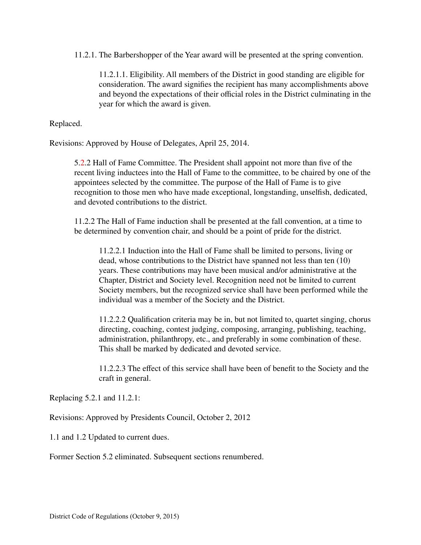11.2.1. The Barbershopper of the Year award will be presented at the spring convention.

11.2.1.1. Eligibility. All members of the District in good standing are eligible for consideration. The award signifies the recipient has many accomplishments above and beyond the expectations of their official roles in the District culminating in the year for which the award is given.

Replaced.

Revisions: Approved by House of Delegates, April 25, 2014.

5.2.2 Hall of Fame Committee. The President shall appoint not more than five of the recent living inductees into the Hall of Fame to the committee, to be chaired by one of the appointees selected by the committee. The purpose of the Hall of Fame is to give recognition to those men who have made exceptional, longstanding, unselfish, dedicated, and devoted contributions to the district.

11.2.2 The Hall of Fame induction shall be presented at the fall convention, at a time to be determined by convention chair, and should be a point of pride for the district.

11.2.2.1 Induction into the Hall of Fame shall be limited to persons, living or dead, whose contributions to the District have spanned not less than ten (10) years. These contributions may have been musical and/or administrative at the Chapter, District and Society level. Recognition need not be limited to current Society members, but the recognized service shall have been performed while the individual was a member of the Society and the District.

11.2.2.2 Qualification criteria may be in, but not limited to, quartet singing, chorus directing, coaching, contest judging, composing, arranging, publishing, teaching, administration, philanthropy, etc., and preferably in some combination of these. This shall be marked by dedicated and devoted service.

11.2.2.3 The effect of this service shall have been of benefit to the Society and the craft in general.

Replacing 5.2.1 and 11.2.1:

Revisions: Approved by Presidents Council, October 2, 2012

1.1 and 1.2 Updated to current dues.

Former Section 5.2 eliminated. Subsequent sections renumbered.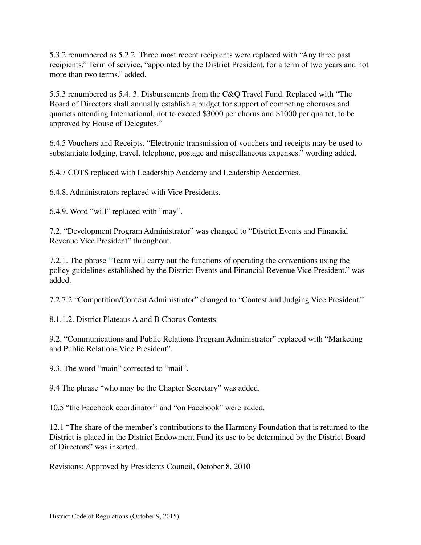5.3.2 renumbered as 5.2.2. Three most recent recipients were replaced with "Any three past recipients." Term of service, "appointed by the District President, for a term of two years and not more than two terms." added.

5.5.3 renumbered as 5.4. 3. Disbursements from the C&Q Travel Fund. Replaced with "The Board of Directors shall annually establish a budget for support of competing choruses and quartets attending International, not to exceed \$3000 per chorus and \$1000 per quartet, to be approved by House of Delegates."

6.4.5 Vouchers and Receipts. "Electronic transmission of vouchers and receipts may be used to substantiate lodging, travel, telephone, postage and miscellaneous expenses." wording added.

6.4.7 COTS replaced with Leadership Academy and Leadership Academies.

6.4.8. Administrators replaced with Vice Presidents.

6.4.9. Word "will" replaced with "may".

7.2. "Development Program Administrator" was changed to "District Events and Financial Revenue Vice President" throughout.

7.2.1. The phrase "Team will carry out the functions of operating the conventions using the policy guidelines established by the District Events and Financial Revenue Vice President." was added.

7.2.7.2 "Competition/Contest Administrator" changed to "Contest and Judging Vice President."

8.1.1.2. District Plateaus A and B Chorus Contests

9.2. "Communications and Public Relations Program Administrator" replaced with "Marketing and Public Relations Vice President".

9.3. The word "main" corrected to "mail".

9.4 The phrase "who may be the Chapter Secretary" was added.

10.5 "the Facebook coordinator" and "on Facebook" were added.

12.1 "The share of the member's contributions to the Harmony Foundation that is returned to the District is placed in the District Endowment Fund its use to be determined by the District Board of Directors" was inserted.

Revisions: Approved by Presidents Council, October 8, 2010